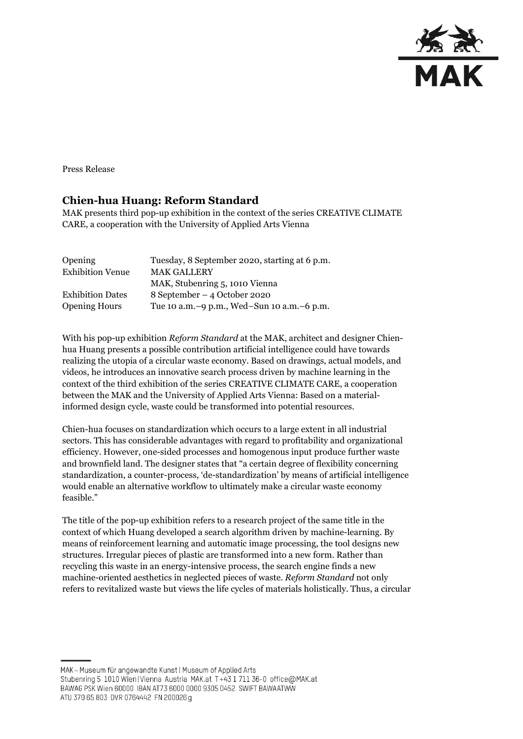

Press Release

## **Chien-hua Huang: Reform Standard**

MAK presents third pop-up exhibition in the context of the series CREATIVE CLIMATE CARE, a cooperation with the University of Applied Arts Vienna

| Opening                 | Tuesday, 8 September 2020, starting at 6 p.m. |
|-------------------------|-----------------------------------------------|
| <b>Exhibition Venue</b> | <b>MAK GALLERY</b>                            |
|                         | MAK, Stubenring 5, 1010 Vienna                |
| <b>Exhibition Dates</b> | 8 September – 4 October 2020                  |
| <b>Opening Hours</b>    | Tue 10 a.m. -9 p.m., Wed-Sun 10 a.m. -6 p.m.  |

With his pop-up exhibition *Reform Standard* at the MAK, architect and designer Chienhua Huang presents a possible contribution artificial intelligence could have towards realizing the utopia of a circular waste economy. Based on drawings, actual models, and videos, he introduces an innovative search process driven by machine learning in the context of the third exhibition of the series CREATIVE CLIMATE CARE, a cooperation between the MAK and the University of Applied Arts Vienna: Based on a materialinformed design cycle, waste could be transformed into potential resources.

Chien-hua focuses on standardization which occurs to a large extent in all industrial sectors. This has considerable advantages with regard to profitability and organizational efficiency. However, one-sided processes and homogenous input produce further waste and brownfield land. The designer states that "a certain degree of flexibility concerning standardization, a counter-process, 'de-standardization' by means of artificial intelligence would enable an alternative workflow to ultimately make a circular waste economy feasible."

The title of the pop-up exhibition refers to a research project of the same title in the context of which Huang developed a search algorithm driven by machine-learning. By means of reinforcement learning and automatic image processing, the tool designs new structures. Irregular pieces of plastic are transformed into a new form. Rather than recycling this waste in an energy-intensive process, the search engine finds a new machine-oriented aesthetics in neglected pieces of waste. *Reform Standard* not only refers to revitalized waste but views the life cycles of materials holistically. Thus, a circular

MAK - Museum für angewandte Kunst | Museum of Applied Arts Stubenring 5 1010 Wien | Vienna Austria MAK.at T+43 1 711 36-0 office@MAK.at BAWAG PSK Wien 60000 IBAN AT73 6000 0000 9305 0452 SWIFT BAWAATWW ATU 370 65 803 DVR 0764442 FN 200026 g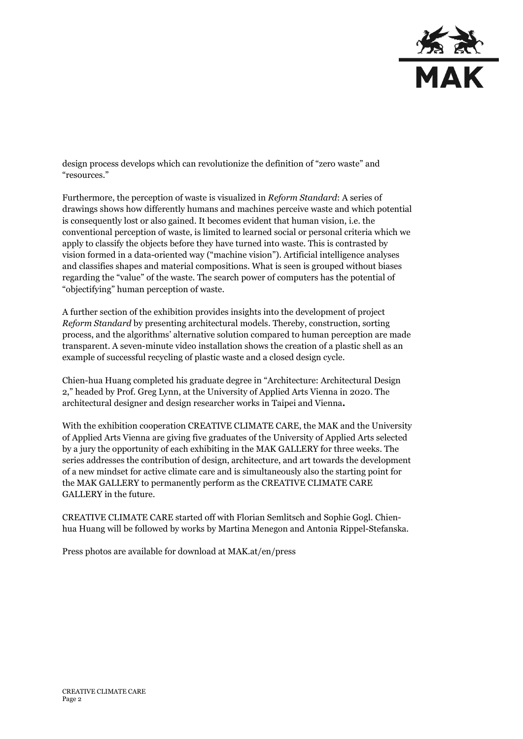

design process develops which can revolutionize the definition of "zero waste" and "resources."

Furthermore, the perception of waste is visualized in *Reform Standard*: A series of drawings shows how differently humans and machines perceive waste and which potential is consequently lost or also gained. It becomes evident that human vision, i.e. the conventional perception of waste, is limited to learned social or personal criteria which we apply to classify the objects before they have turned into waste. This is contrasted by vision formed in a data-oriented way ("machine vision"). Artificial intelligence analyses and classifies shapes and material compositions. What is seen is grouped without biases regarding the "value" of the waste. The search power of computers has the potential of "objectifying" human perception of waste.

A further section of the exhibition provides insights into the development of project *Reform Standard* by presenting architectural models. Thereby, construction, sorting process, and the algorithms' alternative solution compared to human perception are made transparent. A seven-minute video installation shows the creation of a plastic shell as an example of successful recycling of plastic waste and a closed design cycle.

Chien-hua Huang completed his graduate degree in "Architecture: Architectural Design 2," headed by Prof. Greg Lynn, at the University of Applied Arts Vienna in 2020. The architectural designer and design researcher works in Taipei and Vienna**.**

With the exhibition cooperation CREATIVE CLIMATE CARE, the MAK and the University of Applied Arts Vienna are giving five graduates of the University of Applied Arts selected by a jury the opportunity of each exhibiting in the MAK GALLERY for three weeks. The series addresses the contribution of design, architecture, and art towards the development of a new mindset for active climate care and is simultaneously also the starting point for the MAK GALLERY to permanently perform as the CREATIVE CLIMATE CARE GALLERY in the future.

CREATIVE CLIMATE CARE started off with Florian Semlitsch and Sophie Gogl. Chienhua Huang will be followed by works by Martina Menegon and Antonia Rippel-Stefanska.

Press photos are available for download at MAK.at/en/press